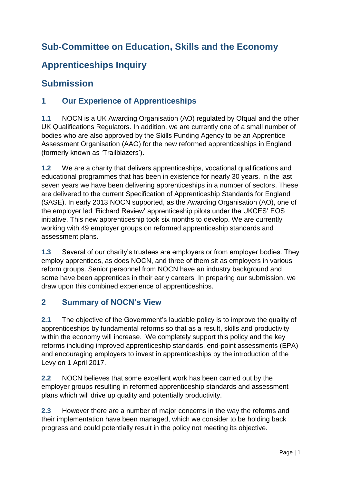# **Sub-Committee on Education, Skills and the Economy**

# **Apprenticeships Inquiry**

## **Submission**

## **1 Our Experience of Apprenticeships**

**1.1** NOCN is a UK Awarding Organisation (AO) regulated by Ofqual and the other UK Qualifications Regulators. In addition, we are currently one of a small number of bodies who are also approved by the Skills Funding Agency to be an Apprentice Assessment Organisation (AAO) for the new reformed apprenticeships in England (formerly known as 'Trailblazers').

**1.2** We are a charity that delivers apprenticeships, vocational qualifications and educational programmes that has been in existence for nearly 30 years. In the last seven years we have been delivering apprenticeships in a number of sectors. These are delivered to the current Specification of Apprenticeship Standards for England (SASE). In early 2013 NOCN supported, as the Awarding Organisation (AO), one of the employer led 'Richard Review' apprenticeship pilots under the UKCES' EOS initiative. This new apprenticeship took six months to develop. We are currently working with 49 employer groups on reformed apprenticeship standards and assessment plans.

**1.3** Several of our charity's trustees are employers or from employer bodies. They employ apprentices, as does NOCN, and three of them sit as employers in various reform groups. Senior personnel from NOCN have an industry background and some have been apprentices in their early careers. In preparing our submission, we draw upon this combined experience of apprenticeships.

### **2 Summary of NOCN's View**

**2.1** The objective of the Government's laudable policy is to improve the quality of apprenticeships by fundamental reforms so that as a result, skills and productivity within the economy will increase. We completely support this policy and the key reforms including improved apprenticeship standards, end-point assessments (EPA) and encouraging employers to invest in apprenticeships by the introduction of the Levy on 1 April 2017.

**2.2** NOCN believes that some excellent work has been carried out by the employer groups resulting in reformed apprenticeship standards and assessment plans which will drive up quality and potentially productivity.

**2.3** However there are a number of major concerns in the way the reforms and their implementation have been managed, which we consider to be holding back progress and could potentially result in the policy not meeting its objective.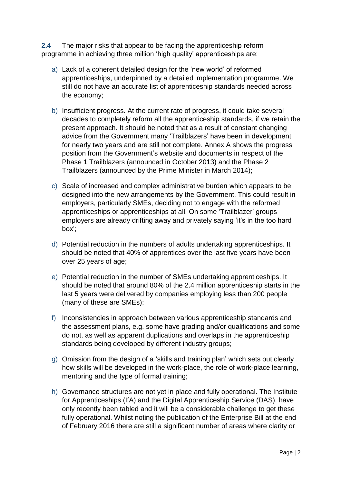**2.4** The major risks that appear to be facing the apprenticeship reform programme in achieving three million 'high quality' apprenticeships are:

- a) Lack of a coherent detailed design for the 'new world' of reformed apprenticeships, underpinned by a detailed implementation programme. We still do not have an accurate list of apprenticeship standards needed across the economy;
- b) Insufficient progress. At the current rate of progress, it could take several decades to completely reform all the apprenticeship standards, if we retain the present approach. It should be noted that as a result of constant changing advice from the Government many 'Trailblazers' have been in development for nearly two years and are still not complete. Annex A shows the progress position from the Government's website and documents in respect of the Phase 1 Trailblazers (announced in October 2013) and the Phase 2 Trailblazers (announced by the Prime Minister in March 2014);
- c) Scale of increased and complex administrative burden which appears to be designed into the new arrangements by the Government. This could result in employers, particularly SMEs, deciding not to engage with the reformed apprenticeships or apprenticeships at all. On some 'Trailblazer' groups employers are already drifting away and privately saying 'it's in the too hard box';
- d) Potential reduction in the numbers of adults undertaking apprenticeships. It should be noted that 40% of apprentices over the last five years have been over 25 years of age;
- e) Potential reduction in the number of SMEs undertaking apprenticeships. It should be noted that around 80% of the 2.4 million apprenticeship starts in the last 5 years were delivered by companies employing less than 200 people (many of these are SMEs);
- f) Inconsistencies in approach between various apprenticeship standards and the assessment plans, e.g. some have grading and/or qualifications and some do not, as well as apparent duplications and overlaps in the apprenticeship standards being developed by different industry groups;
- g) Omission from the design of a 'skills and training plan' which sets out clearly how skills will be developed in the work-place, the role of work-place learning, mentoring and the type of formal training;
- h) Governance structures are not yet in place and fully operational. The Institute for Apprenticeships (IfA) and the Digital Apprenticeship Service (DAS), have only recently been tabled and it will be a considerable challenge to get these fully operational. Whilst noting the publication of the Enterprise Bill at the end of February 2016 there are still a significant number of areas where clarity or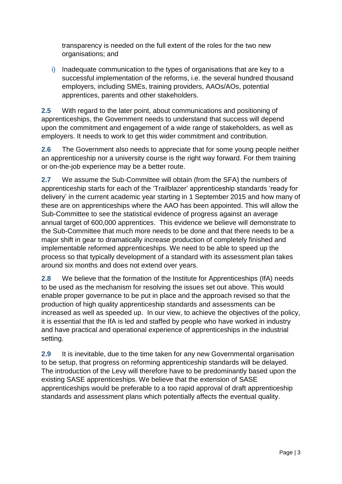transparency is needed on the full extent of the roles for the two new organisations; and

i) Inadequate communication to the types of organisations that are key to a successful implementation of the reforms, i.e. the several hundred thousand employers, including SMEs, training providers, AAOs/AOs, potential apprentices, parents and other stakeholders.

**2.5** With regard to the later point, about communications and positioning of apprenticeships, the Government needs to understand that success will depend upon the commitment and engagement of a wide range of stakeholders, as well as employers. It needs to work to get this wider commitment and contribution.

**2.6** The Government also needs to appreciate that for some young people neither an apprenticeship nor a university course is the right way forward. For them training or on-the-job experience may be a better route.

**2.7** We assume the Sub-Committee will obtain (from the SFA) the numbers of apprenticeship starts for each of the 'Trailblazer' apprenticeship standards 'ready for delivery' in the current academic year starting in 1 September 2015 and how many of these are on apprenticeships where the AAO has been appointed. This will allow the Sub-Committee to see the statistical evidence of progress against an average annual target of 600,000 apprentices. This evidence we believe will demonstrate to the Sub-Committee that much more needs to be done and that there needs to be a major shift in gear to dramatically increase production of completely finished and implementable reformed apprenticeships. We need to be able to speed up the process so that typically development of a standard with its assessment plan takes around six months and does not extend over years.

**2.8** We believe that the formation of the Institute for Apprenticeships (IfA) needs to be used as the mechanism for resolving the issues set out above. This would enable proper governance to be put in place and the approach revised so that the production of high quality apprenticeship standards and assessments can be increased as well as speeded up. In our view, to achieve the objectives of the policy, it is essential that the IfA is led and staffed by people who have worked in industry and have practical and operational experience of apprenticeships in the industrial setting.

**2.9** It is inevitable, due to the time taken for any new Governmental organisation to be setup, that progress on reforming apprenticeship standards will be delayed. The introduction of the Levy will therefore have to be predominantly based upon the existing SASE apprenticeships. We believe that the extension of SASE apprenticeships would be preferable to a too rapid approval of draft apprenticeship standards and assessment plans which potentially affects the eventual quality.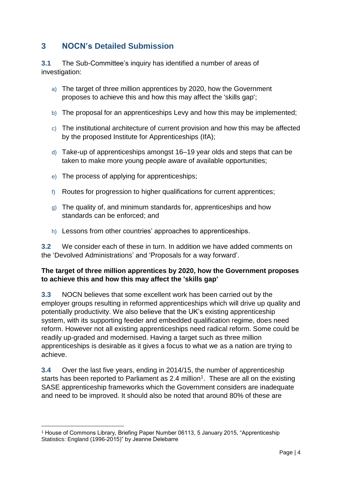### **3 NOCN's Detailed Submission**

**3.1** The Sub-Committee's inquiry has identified a number of areas of investigation:

- a) The target of three million apprentices by 2020, how the Government proposes to achieve this and how this may affect the 'skills gap';
- b) The proposal for an apprenticeships Levy and how this may be implemented;
- c) The institutional architecture of current provision and how this may be affected by the proposed Institute for Apprenticeships (IfA);
- d) Take-up of apprenticeships amongst 16–19 year olds and steps that can be taken to make more young people aware of available opportunities;
- e) The process of applying for apprenticeships;
- f) Routes for progression to higher qualifications for current apprentices;
- g) The quality of, and minimum standards for, apprenticeships and how standards can be enforced; and
- h) Lessons from other countries' approaches to apprenticeships.

**3.2** We consider each of these in turn. In addition we have added comments on the 'Devolved Administrations' and 'Proposals for a way forward'.

#### **The target of three million apprentices by 2020, how the Government proposes to achieve this and how this may affect the 'skills gap'**

**3.3** NOCN believes that some excellent work has been carried out by the employer groups resulting in reformed apprenticeships which will drive up quality and potentially productivity. We also believe that the UK's existing apprenticeship system, with its supporting feeder and embedded qualification regime, does need reform. However not all existing apprenticeships need radical reform. Some could be readily up-graded and modernised. Having a target such as three million apprenticeships is desirable as it gives a focus to what we as a nation are trying to achieve.

**3.4** Over the last five years, ending in 2014/15, the number of apprenticeship starts has been reported to Parliament as 2.4 million<sup>1</sup>. These are all on the existing SASE apprenticeship frameworks which the Government considers are inadequate and need to be improved. It should also be noted that around 80% of these are

1

<sup>1</sup> House of Commons Library, Briefing Paper Number 06113, 5 January 2015, "Apprenticeship Statistics: England (1996-2015)" by Jeanne Delebarre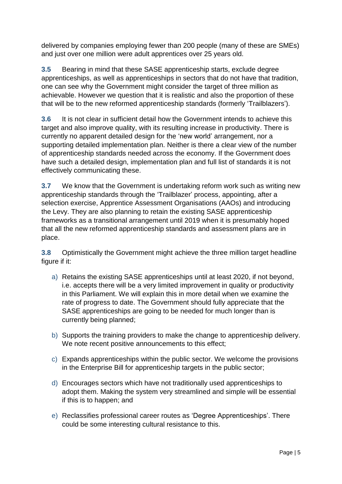delivered by companies employing fewer than 200 people (many of these are SMEs) and just over one million were adult apprentices over 25 years old.

**3.5** Bearing in mind that these SASE apprenticeship starts, exclude degree apprenticeships, as well as apprenticeships in sectors that do not have that tradition, one can see why the Government might consider the target of three million as achievable. However we question that it is realistic and also the proportion of these that will be to the new reformed apprenticeship standards (formerly 'Trailblazers').

**3.6** It is not clear in sufficient detail how the Government intends to achieve this target and also improve quality, with its resulting increase in productivity. There is currently no apparent detailed design for the 'new world' arrangement, nor a supporting detailed implementation plan. Neither is there a clear view of the number of apprenticeship standards needed across the economy. If the Government does have such a detailed design, implementation plan and full list of standards it is not effectively communicating these.

**3.7** We know that the Government is undertaking reform work such as writing new apprenticeship standards through the 'Trailblazer' process, appointing, after a selection exercise, Apprentice Assessment Organisations (AAOs) and introducing the Levy. They are also planning to retain the existing SASE apprenticeship frameworks as a transitional arrangement until 2019 when it is presumably hoped that all the new reformed apprenticeship standards and assessment plans are in place.

**3.8** Optimistically the Government might achieve the three million target headline figure if it:

- a) Retains the existing SASE apprenticeships until at least 2020, if not beyond, i.e. accepts there will be a very limited improvement in quality or productivity in this Parliament. We will explain this in more detail when we examine the rate of progress to date. The Government should fully appreciate that the SASE apprenticeships are going to be needed for much longer than is currently being planned;
- b) Supports the training providers to make the change to apprenticeship delivery. We note recent positive announcements to this effect;
- c) Expands apprenticeships within the public sector. We welcome the provisions in the Enterprise Bill for apprenticeship targets in the public sector;
- d) Encourages sectors which have not traditionally used apprenticeships to adopt them. Making the system very streamlined and simple will be essential if this is to happen; and
- e) Reclassifies professional career routes as 'Degree Apprenticeships'. There could be some interesting cultural resistance to this.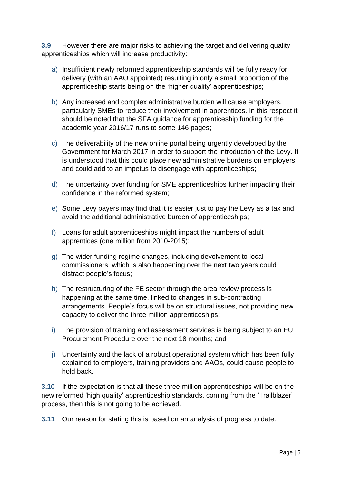**3.9** However there are major risks to achieving the target and delivering quality apprenticeships which will increase productivity:

- a) Insufficient newly reformed apprenticeship standards will be fully ready for delivery (with an AAO appointed) resulting in only a small proportion of the apprenticeship starts being on the 'higher quality' apprenticeships;
- b) Any increased and complex administrative burden will cause employers, particularly SMEs to reduce their involvement in apprentices. In this respect it should be noted that the SFA guidance for apprenticeship funding for the academic year 2016/17 runs to some 146 pages;
- c) The deliverability of the new online portal being urgently developed by the Government for March 2017 in order to support the introduction of the Levy. It is understood that this could place new administrative burdens on employers and could add to an impetus to disengage with apprenticeships;
- d) The uncertainty over funding for SME apprenticeships further impacting their confidence in the reformed system;
- e) Some Levy payers may find that it is easier just to pay the Levy as a tax and avoid the additional administrative burden of apprenticeships;
- f) Loans for adult apprenticeships might impact the numbers of adult apprentices (one million from 2010-2015);
- g) The wider funding regime changes, including devolvement to local commissioners, which is also happening over the next two years could distract people's focus;
- h) The restructuring of the FE sector through the area review process is happening at the same time, linked to changes in sub-contracting arrangements. People's focus will be on structural issues, not providing new capacity to deliver the three million apprenticeships;
- i) The provision of training and assessment services is being subject to an EU Procurement Procedure over the next 18 months; and
- j) Uncertainty and the lack of a robust operational system which has been fully explained to employers, training providers and AAOs, could cause people to hold back.

**3.10** If the expectation is that all these three million apprenticeships will be on the new reformed 'high quality' apprenticeship standards, coming from the 'Trailblazer' process, then this is not going to be achieved.

**3.11** Our reason for stating this is based on an analysis of progress to date.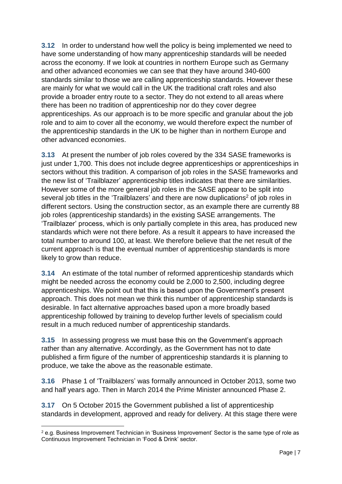**3.12** In order to understand how well the policy is being implemented we need to have some understanding of how many apprenticeship standards will be needed across the economy. If we look at countries in northern Europe such as Germany and other advanced economies we can see that they have around 340-600 standards similar to those we are calling apprenticeship standards. However these are mainly for what we would call in the UK the traditional craft roles and also provide a broader entry route to a sector. They do not extend to all areas where there has been no tradition of apprenticeship nor do they cover degree apprenticeships. As our approach is to be more specific and granular about the job role and to aim to cover all the economy, we would therefore expect the number of the apprenticeship standards in the UK to be higher than in northern Europe and other advanced economies.

**3.13** At present the number of job roles covered by the 334 SASE frameworks is just under 1,700. This does not include degree apprenticeships or apprenticeships in sectors without this tradition. A comparison of job roles in the SASE frameworks and the new list of 'Trailblazer' apprenticeship titles indicates that there are similarities. However some of the more general job roles in the SASE appear to be split into several job titles in the 'Trailblazers' and there are now duplications<sup>2</sup> of job roles in different sectors. Using the construction sector, as an example there are currently 88 job roles (apprenticeship standards) in the existing SASE arrangements. The 'Trailblazer' process, which is only partially complete in this area, has produced new standards which were not there before. As a result it appears to have increased the total number to around 100, at least. We therefore believe that the net result of the current approach is that the eventual number of apprenticeship standards is more likely to grow than reduce.

**3.14** An estimate of the total number of reformed apprenticeship standards which might be needed across the economy could be 2,000 to 2,500, including degree apprenticeships. We point out that this is based upon the Government's present approach. This does not mean we think this number of apprenticeship standards is desirable. In fact alternative approaches based upon a more broadly based apprenticeship followed by training to develop further levels of specialism could result in a much reduced number of apprenticeship standards.

**3.15** In assessing progress we must base this on the Government's approach rather than any alternative. Accordingly, as the Government has not to date published a firm figure of the number of apprenticeship standards it is planning to produce, we take the above as the reasonable estimate.

**3.16** Phase 1 of 'Trailblazers' was formally announced in October 2013, some two and half years ago. Then in March 2014 the Prime Minister announced Phase 2.

**3.17** On 5 October 2015 the Government published a list of apprenticeship standards in development, approved and ready for delivery. At this stage there were

1

 $2$  e.g. Business Improvement Technician in 'Business Improvement' Sector is the same type of role as Continuous Improvement Technician in 'Food & Drink' sector.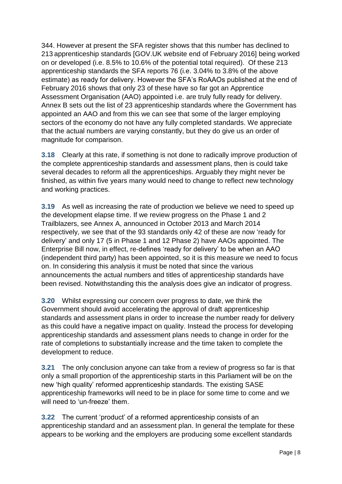344. However at present the SFA register shows that this number has declined to 213 apprenticeship standards [GOV.UK website end of February 2016] being worked on or developed (i.e. 8.5% to 10.6% of the potential total required). Of these 213 apprenticeship standards the SFA reports 76 (i.e. 3.04% to 3.8% of the above estimate) as ready for delivery. However the SFA's RoAAOs published at the end of February 2016 shows that only 23 of these have so far got an Apprentice Assessment Organisation (AAO) appointed i.e. are truly fully ready for delivery. Annex B sets out the list of 23 apprenticeship standards where the Government has appointed an AAO and from this we can see that some of the larger employing sectors of the economy do not have any fully completed standards. We appreciate that the actual numbers are varying constantly, but they do give us an order of magnitude for comparison.

**3.18** Clearly at this rate, if something is not done to radically improve production of the complete apprenticeship standards and assessment plans, then is could take several decades to reform all the apprenticeships. Arguably they might never be finished, as within five years many would need to change to reflect new technology and working practices.

**3.19** As well as increasing the rate of production we believe we need to speed up the development elapse time. If we review progress on the Phase 1 and 2 Trailblazers, see Annex A, announced in October 2013 and March 2014 respectively, we see that of the 93 standards only 42 of these are now 'ready for delivery' and only 17 (5 in Phase 1 and 12 Phase 2) have AAOs appointed. The Enterprise Bill now, in effect, re-defines 'ready for delivery' to be when an AAO (independent third party) has been appointed, so it is this measure we need to focus on. In considering this analysis it must be noted that since the various announcements the actual numbers and titles of apprenticeship standards have been revised. Notwithstanding this the analysis does give an indicator of progress.

**3.20** Whilst expressing our concern over progress to date, we think the Government should avoid accelerating the approval of draft apprenticeship standards and assessment plans in order to increase the number ready for delivery as this could have a negative impact on quality. Instead the process for developing apprenticeship standards and assessment plans needs to change in order for the rate of completions to substantially increase and the time taken to complete the development to reduce.

**3.21** The only conclusion anyone can take from a review of progress so far is that only a small proportion of the apprenticeship starts in this Parliament will be on the new 'high quality' reformed apprenticeship standards. The existing SASE apprenticeship frameworks will need to be in place for some time to come and we will need to 'un-freeze' them.

**3.22** The current 'product' of a reformed apprenticeship consists of an apprenticeship standard and an assessment plan. In general the template for these appears to be working and the employers are producing some excellent standards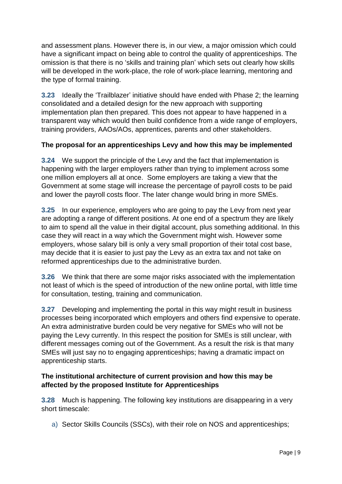and assessment plans. However there is, in our view, a major omission which could have a significant impact on being able to control the quality of apprenticeships. The omission is that there is no 'skills and training plan' which sets out clearly how skills will be developed in the work-place, the role of work-place learning, mentoring and the type of formal training.

**3.23** Ideally the 'Trailblazer' initiative should have ended with Phase 2; the learning consolidated and a detailed design for the new approach with supporting implementation plan then prepared. This does not appear to have happened in a transparent way which would then build confidence from a wide range of employers, training providers, AAOs/AOs, apprentices, parents and other stakeholders.

#### **The proposal for an apprenticeships Levy and how this may be implemented**

**3.24** We support the principle of the Levy and the fact that implementation is happening with the larger employers rather than trying to implement across some one million employers all at once. Some employers are taking a view that the Government at some stage will increase the percentage of payroll costs to be paid and lower the payroll costs floor. The later change would bring in more SMEs.

**3.25** In our experience, employers who are going to pay the Levy from next year are adopting a range of different positions. At one end of a spectrum they are likely to aim to spend all the value in their digital account, plus something additional. In this case they will react in a way which the Government might wish. However some employers, whose salary bill is only a very small proportion of their total cost base, may decide that it is easier to just pay the Levy as an extra tax and not take on reformed apprenticeships due to the administrative burden.

**3.26** We think that there are some major risks associated with the implementation not least of which is the speed of introduction of the new online portal, with little time for consultation, testing, training and communication.

**3.27** Developing and implementing the portal in this way might result in business processes being incorporated which employers and others find expensive to operate. An extra administrative burden could be very negative for SMEs who will not be paying the Levy currently. In this respect the position for SMEs is still unclear, with different messages coming out of the Government. As a result the risk is that many SMEs will just say no to engaging apprenticeships; having a dramatic impact on apprenticeship starts.

#### **The institutional architecture of current provision and how this may be affected by the proposed Institute for Apprenticeships**

**3.28** Much is happening. The following key institutions are disappearing in a very short timescale:

a) Sector Skills Councils (SSCs), with their role on NOS and apprenticeships;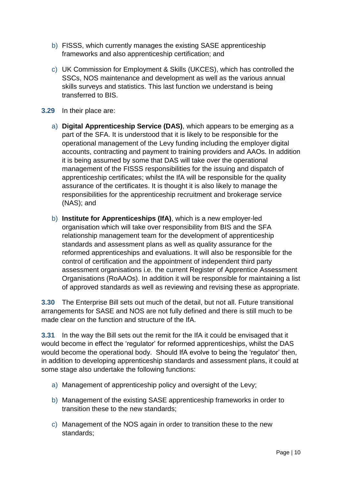- b) FISSS, which currently manages the existing SASE apprenticeship frameworks and also apprenticeship certification; and
- c) UK Commission for Employment & Skills (UKCES), which has controlled the SSCs, NOS maintenance and development as well as the various annual skills surveys and statistics. This last function we understand is being transferred to BIS.
- **3.29** In their place are:
	- a) **Digital Apprenticeship Service (DAS)**, which appears to be emerging as a part of the SFA. It is understood that it is likely to be responsible for the operational management of the Levy funding including the employer digital accounts, contracting and payment to training providers and AAOs. In addition it is being assumed by some that DAS will take over the operational management of the FISSS responsibilities for the issuing and dispatch of apprenticeship certificates; whilst the IfA will be responsible for the quality assurance of the certificates. It is thought it is also likely to manage the responsibilities for the apprenticeship recruitment and brokerage service (NAS); and
	- b) **Institute for Apprenticeships (IfA)**, which is a new employer-led organisation which will take over responsibility from BIS and the SFA relationship management team for the development of apprenticeship standards and assessment plans as well as quality assurance for the reformed apprenticeships and evaluations. It will also be responsible for the control of certification and the appointment of independent third party assessment organisations i.e. the current Register of Apprentice Assessment Organisations (RoAAOs). In addition it will be responsible for maintaining a list of approved standards as well as reviewing and revising these as appropriate.

**3.30** The Enterprise Bill sets out much of the detail, but not all. Future transitional arrangements for SASE and NOS are not fully defined and there is still much to be made clear on the function and structure of the IfA.

**3.31** In the way the Bill sets out the remit for the IfA it could be envisaged that it would become in effect the 'regulator' for reformed apprenticeships, whilst the DAS would become the operational body. Should IfA evolve to being the 'regulator' then, in addition to developing apprenticeship standards and assessment plans, it could at some stage also undertake the following functions:

- a) Management of apprenticeship policy and oversight of the Levy;
- b) Management of the existing SASE apprenticeship frameworks in order to transition these to the new standards;
- c) Management of the NOS again in order to transition these to the new standards;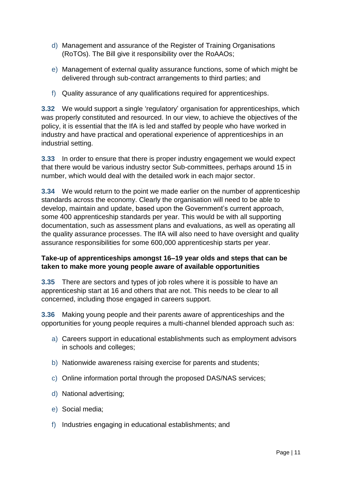- d) Management and assurance of the Register of Training Organisations (RoTOs). The Bill give it responsibility over the RoAAOs;
- e) Management of external quality assurance functions, some of which might be delivered through sub-contract arrangements to third parties; and
- f) Quality assurance of any qualifications required for apprenticeships.

**3.32** We would support a single 'regulatory' organisation for apprenticeships, which was properly constituted and resourced. In our view, to achieve the objectives of the policy, it is essential that the IfA is led and staffed by people who have worked in industry and have practical and operational experience of apprenticeships in an industrial setting.

**3.33** In order to ensure that there is proper industry engagement we would expect that there would be various industry sector Sub-committees, perhaps around 15 in number, which would deal with the detailed work in each major sector.

**3.34** We would return to the point we made earlier on the number of apprenticeship standards across the economy. Clearly the organisation will need to be able to develop, maintain and update, based upon the Government's current approach, some 400 apprenticeship standards per year. This would be with all supporting documentation, such as assessment plans and evaluations, as well as operating all the quality assurance processes. The IfA will also need to have oversight and quality assurance responsibilities for some 600,000 apprenticeship starts per year.

#### **Take-up of apprenticeships amongst 16–19 year olds and steps that can be taken to make more young people aware of available opportunities**

**3.35** There are sectors and types of job roles where it is possible to have an apprenticeship start at 16 and others that are not. This needs to be clear to all concerned, including those engaged in careers support.

**3.36** Making young people and their parents aware of apprenticeships and the opportunities for young people requires a multi-channel blended approach such as:

- a) Careers support in educational establishments such as employment advisors in schools and colleges;
- b) Nationwide awareness raising exercise for parents and students;
- c) Online information portal through the proposed DAS/NAS services;
- d) National advertising;
- e) Social media;
- f) Industries engaging in educational establishments; and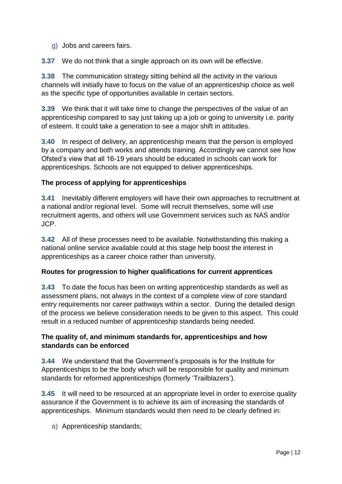g) Jobs and careers fairs.

**3.37** We do not think that a single approach on its own will be effective.

**3.38** The communication strategy sitting behind all the activity in the various channels will initially have to focus on the value of an apprenticeship choice as well as the specific type of opportunities available in certain sectors.

**3.39** We think that it will take time to change the perspectives of the value of an apprenticeship compared to say just taking up a job or going to university i.e. parity of esteem. It could take a generation to see a major shift in attitudes.

**3.40** In respect of delivery, an apprenticeship means that the person is employed by a company and both works and attends training. Accordingly we cannot see how Ofsted's view that all 16-19 years should be educated in schools can work for apprenticeships. Schools are not equipped to deliver apprenticeships.

#### **The process of applying for apprenticeships**

**3.41** Inevitably different employers will have their own approaches to recruitment at a national and/or regional level. Some will recruit themselves, some will use recruitment agents, and others will use Government services such as NAS and/or JCP.

**3.42** All of these processes need to be available. Notwithstanding this making a national online service available could at this stage help boost the interest in apprenticeships as a career choice rather than university.

#### **Routes for progression to higher qualifications for current apprentices**

**3.43** To date the focus has been on writing apprenticeship standards as well as assessment plans, not always in the context of a complete view of core standard entry requirements nor career pathways within a sector. During the detailed design of the process we believe consideration needs to be given to this aspect. This could result in a reduced number of apprenticeship standards being needed.

#### **The quality of, and minimum standards for, apprenticeships and how standards can be enforced**

**3.44** We understand that the Government's proposals is for the Institute for Apprenticeships to be the body which will be responsible for quality and minimum standards for reformed apprenticeships (formerly 'Trailblazers').

**3.45** It will need to be resourced at an appropriate level in order to exercise quality assurance if the Government is to achieve its aim of increasing the standards of apprenticeships. Minimum standards would then need to be clearly defined in:

a) Apprenticeship standards;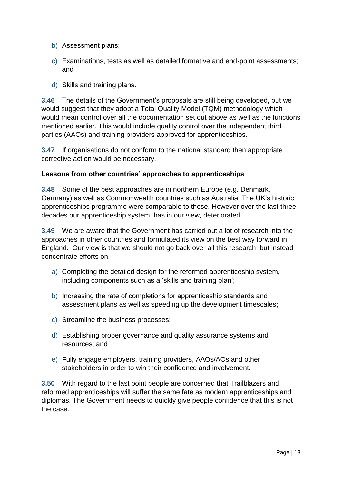- b) Assessment plans;
- c) Examinations, tests as well as detailed formative and end-point assessments; and
- d) Skills and training plans.

**3.46** The details of the Government's proposals are still being developed, but we would suggest that they adopt a Total Quality Model (TQM) methodology which would mean control over all the documentation set out above as well as the functions mentioned earlier. This would include quality control over the independent third parties (AAOs) and training providers approved for apprenticeships.

**3.47** If organisations do not conform to the national standard then appropriate corrective action would be necessary.

#### **Lessons from other countries' approaches to apprenticeships**

**3.48** Some of the best approaches are in northern Europe (e.g. Denmark, Germany) as well as Commonwealth countries such as Australia. The UK's historic apprenticeships programme were comparable to these. However over the last three decades our apprenticeship system, has in our view, deteriorated.

**3.49** We are aware that the Government has carried out a lot of research into the approaches in other countries and formulated its view on the best way forward in England. Our view is that we should not go back over all this research, but instead concentrate efforts on:

- a) Completing the detailed design for the reformed apprenticeship system, including components such as a 'skills and training plan';
- b) Increasing the rate of completions for apprenticeship standards and assessment plans as well as speeding up the development timescales;
- c) Streamline the business processes;
- d) Establishing proper governance and quality assurance systems and resources; and
- e) Fully engage employers, training providers, AAOs/AOs and other stakeholders in order to win their confidence and involvement.

**3.50** With regard to the last point people are concerned that Trailblazers and reformed apprenticeships will suffer the same fate as modern apprenticeships and diplomas. The Government needs to quickly give people confidence that this is not the case.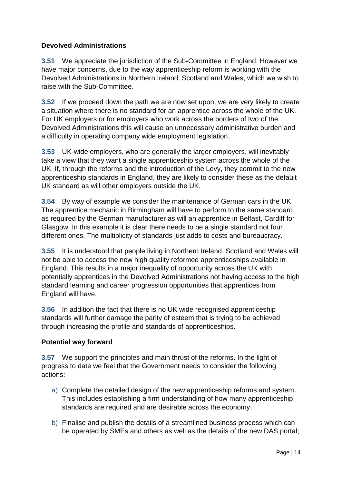#### **Devolved Administrations**

**3.51** We appreciate the jurisdiction of the Sub-Committee in England. However we have major concerns, due to the way apprenticeship reform is working with the Devolved Administrations in Northern Ireland, Scotland and Wales, which we wish to raise with the Sub-Committee.

**3.52** If we proceed down the path we are now set upon, we are very likely to create a situation where there is no standard for an apprentice across the whole of the UK. For UK employers or for employers who work across the borders of two of the Devolved Administrations this will cause an unnecessary administrative burden and a difficulty in operating company wide employment legislation.

**3.53** UK-wide employers, who are generally the larger employers, will inevitably take a view that they want a single apprenticeship system across the whole of the UK. If, through the reforms and the introduction of the Levy, they commit to the new apprenticeship standards in England, they are likely to consider these as the default UK standard as will other employers outside the UK.

**3.54** By way of example we consider the maintenance of German cars in the UK. The apprentice mechanic in Birmingham will have to perform to the same standard as required by the German manufacturer as will an apprentice in Belfast, Cardiff for Glasgow. In this example it is clear there needs to be a single standard not four different ones. The multiplicity of standards just adds to costs and bureaucracy.

**3.55** It is understood that people living in Northern Ireland, Scotland and Wales will not be able to access the new high quality reformed apprenticeships available in England. This results in a major inequality of opportunity across the UK with potentially apprentices in the Devolved Administrations not having access to the high standard learning and career progression opportunities that apprentices from England will have.

**3.56** In addition the fact that there is no UK wide recognised apprenticeship standards will further damage the parity of esteem that is trying to be achieved through increasing the profile and standards of apprenticeships.

#### **Potential way forward**

**3.57** We support the principles and main thrust of the reforms. In the light of progress to date we feel that the Government needs to consider the following actions:

- a) Complete the detailed design of the new apprenticeship reforms and system. This includes establishing a firm understanding of how many apprenticeship standards are required and are desirable across the economy;
- b) Finalise and publish the details of a streamlined business process which can be operated by SMEs and others as well as the details of the new DAS portal;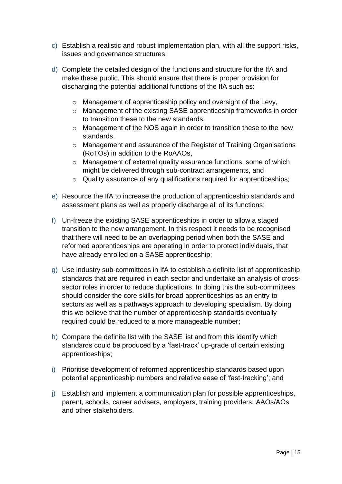- c) Establish a realistic and robust implementation plan, with all the support risks, issues and governance structures;
- d) Complete the detailed design of the functions and structure for the IfA and make these public. This should ensure that there is proper provision for discharging the potential additional functions of the IfA such as:
	- o Management of apprenticeship policy and oversight of the Levy,
	- o Management of the existing SASE apprenticeship frameworks in order to transition these to the new standards,
	- o Management of the NOS again in order to transition these to the new standards,
	- o Management and assurance of the Register of Training Organisations (RoTOs) in addition to the RoAAOs,
	- o Management of external quality assurance functions, some of which might be delivered through sub-contract arrangements, and
	- o Quality assurance of any qualifications required for apprenticeships;
- e) Resource the IfA to increase the production of apprenticeship standards and assessment plans as well as properly discharge all of its functions;
- f) Un-freeze the existing SASE apprenticeships in order to allow a staged transition to the new arrangement. In this respect it needs to be recognised that there will need to be an overlapping period when both the SASE and reformed apprenticeships are operating in order to protect individuals, that have already enrolled on a SASE apprenticeship;
- g) Use industry sub-committees in IfA to establish a definite list of apprenticeship standards that are required in each sector and undertake an analysis of crosssector roles in order to reduce duplications. In doing this the sub-committees should consider the core skills for broad apprenticeships as an entry to sectors as well as a pathways approach to developing specialism. By doing this we believe that the number of apprenticeship standards eventually required could be reduced to a more manageable number;
- h) Compare the definite list with the SASE list and from this identify which standards could be produced by a 'fast-track' up-grade of certain existing apprenticeships;
- i) Prioritise development of reformed apprenticeship standards based upon potential apprenticeship numbers and relative ease of 'fast-tracking'; and
- j) Establish and implement a communication plan for possible apprenticeships, parent, schools, career advisers, employers, training providers, AAOs/AOs and other stakeholders.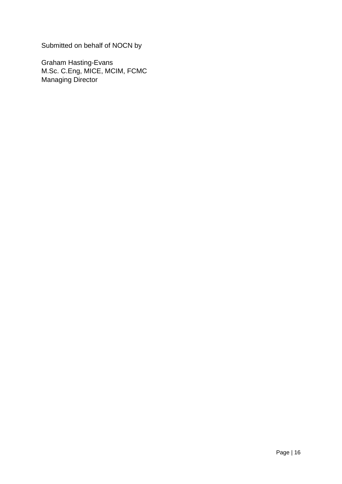Submitted on behalf of NOCN by

Graham Hasting-Evans M.Sc. C.Eng, MICE, MCIM, FCMC Managing Director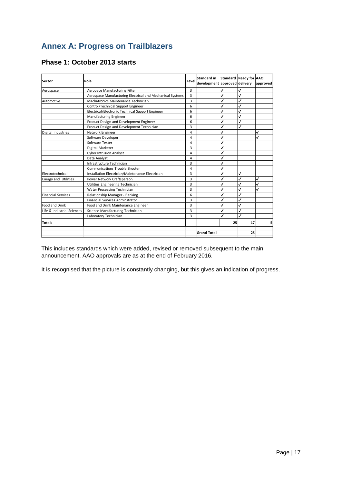## **Annex A: Progress on Trailblazers**

| Sector                      | Role                                                      | Level | <b>Standard in</b><br>development approved delivery |              | Standard Ready for AAO | approved |
|-----------------------------|-----------------------------------------------------------|-------|-----------------------------------------------------|--------------|------------------------|----------|
| Aerospace                   | Aeropace Manufacturing Fitter                             | 3     |                                                     | √            |                        |          |
|                             | Aerospace Manufacturing Electrical and Mechanical Systems | 3     |                                                     | J            |                        |          |
| Automotive                  | Machatronics Maintenance Technician                       | 3     |                                                     | $\checkmark$ |                        |          |
|                             | Control/Technical Support Engineer                        | 6     |                                                     | J            |                        |          |
|                             | Electrical/Electronic Technical Support Engineer          | 6     |                                                     | ✓            |                        |          |
|                             | Manufacturing Engineer                                    | 6     |                                                     | ✓            |                        |          |
|                             | Product Design and Development Engineer                   | 6     |                                                     | $\checkmark$ |                        |          |
|                             | Product Design and Development Technician                 | 3     |                                                     | ✓            | √                      |          |
| Digital Industries          | Network Engineer                                          | 4     |                                                     | ✓            |                        | J        |
|                             | Software Developer                                        | 4     |                                                     | ✓            |                        | J        |
|                             | Software Tester                                           | 4     |                                                     | $\checkmark$ |                        |          |
|                             | Digital Marketer                                          | 3     |                                                     | $\checkmark$ |                        |          |
|                             | <b>Cyber Intrusion Analyst</b>                            | 4     |                                                     | $\checkmark$ |                        |          |
|                             | Data Analyst                                              | 4     |                                                     | √            |                        |          |
|                             | Infrastructure Technician                                 | 3     |                                                     | √            |                        |          |
|                             | <b>Communications Trouble Shooter</b>                     | 4     |                                                     | ✓            |                        |          |
| Electrotechnical            | Installation Electrician/Maintenance Electrician          | 3     |                                                     | √            | J                      |          |
| <b>Energy and Utilities</b> | Power Network Craftsperson                                | 3     |                                                     | $\checkmark$ |                        | J        |
|                             | Utilities Engineering Technician                          | 3     |                                                     | ✓            |                        |          |
|                             | Water Processing Technician                               | 3     |                                                     | $\checkmark$ |                        | J        |
| <b>Financial Services</b>   | Relationship Manager - Banking                            | 6     |                                                     | √            |                        |          |
|                             | <b>Financial Services Adminstrator</b>                    | 3     |                                                     | $\checkmark$ |                        |          |
| Food and Drink              | Food and Drink Maintenance Engineer                       | 3     |                                                     | ✓            |                        |          |
| Life & Industrial Sciences  | Science Manufacturing Technician                          | 3     |                                                     | ✓            |                        |          |
|                             | Laboratory Technician                                     | 3     |                                                     | ✓            |                        |          |
| <b>Totals</b>               |                                                           |       |                                                     | 25           | 17                     | 5        |
|                             |                                                           |       | <b>Grand Total</b>                                  |              | 25                     |          |

#### **Phase 1: October 2013 starts**

This includes standards which were added, revised or removed subsequent to the main announcement. AAO approvals are as at the end of February 2016.

It is recognised that the picture is constantly changing, but this gives an indication of progress.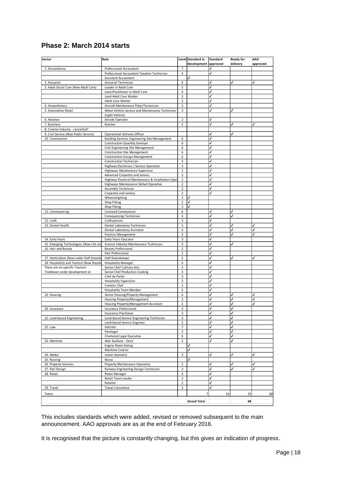#### **Phase 2: March 2014 starts**

| Sector                                  | Role                                                                     |                                  | Level Standard in    | <b>Standard</b> | Ready for | <b>AAO</b> |
|-----------------------------------------|--------------------------------------------------------------------------|----------------------------------|----------------------|-----------------|-----------|------------|
|                                         |                                                                          |                                  | development approved |                 | delivery  | approved   |
| 1. Accountancy                          | Professional Accountant<br>Professional Accountant Taxation Technician   | $\overline{7}$                   |                      | √               |           |            |
|                                         |                                                                          | $\overline{4}$                   | J                    |                 |           |            |
| 2. Actuarial                            | <b>Assistant Accountant</b><br>Actuarial Technician                      | 4                                |                      | ✓               | ✓         | ✓          |
| 3. Adult Social Care (Now Adult Care)   | Leader in Adult Care                                                     | 5                                |                      |                 |           |            |
|                                         | Lead Practitioner in Adult Care                                          | 4                                |                      | J               |           |            |
|                                         | Lead Adult Care Worker                                                   | 3                                |                      | J               |           |            |
|                                         | Adult Care Worker                                                        | $\overline{2}$                   |                      |                 |           |            |
| 4. Airworthiness                        | Aircraft Maintenance Fitter/Technician                                   | 3                                |                      | J               |           |            |
| 5. Automotive Retail                    | Motor Vehicle Service and Maintenance Technician                         | 3                                |                      | J               |           |            |
|                                         | (Light Vehicle)                                                          |                                  |                      |                 |           |            |
| 6. Aviation                             | Airside Operator                                                         | 2                                |                      | ✓               |           |            |
| 7. Butchery                             | Butcher                                                                  | $\overline{2}$                   |                      | J               | ✓         | J          |
| 8. Cinema Industry - cancelled?         |                                                                          |                                  |                      |                 |           |            |
| 9. Civil Service (Now Public Service)   | Operational Delivery Officer                                             |                                  |                      | √               | ✓         |            |
| 10. Construction                        | Building Services Engineering Site Management                            | 6                                |                      | ✓               |           |            |
|                                         | <b>Construction Quantity Surveyor</b>                                    | 6                                |                      | J               |           |            |
|                                         | Civil Engineering Site Management                                        | 6                                |                      |                 |           |            |
|                                         | <b>Construction Site Management</b>                                      | 6                                |                      | J               |           |            |
|                                         | <b>Construction Design Management</b>                                    | 6                                |                      |                 |           |            |
|                                         | Construction Technician                                                  | 4                                |                      |                 |           |            |
|                                         | Highway Electrician / Service Operative                                  | 3                                |                      |                 |           |            |
|                                         | Highways Maintenance Supervisor                                          | 3                                |                      | J               |           |            |
|                                         | Advanced Carpentry and Joinery                                           | 3                                |                      | J               |           |            |
|                                         | Highway Electrical Maintenance & Installation Oper                       | $\overline{2}$                   |                      | J               |           |            |
|                                         | Highways Maintenance Skilled Operative                                   | 2                                |                      |                 |           |            |
|                                         | Assembly Technician<br>Carpentry and Joinery                             | $\overline{2}$<br>$\overline{2}$ |                      |                 |           |            |
|                                         | Wheelwrighting                                                           | 3                                |                      |                 |           |            |
|                                         | Shop Fitting                                                             | 2                                | J                    |                 |           |            |
|                                         | Shop Fitting                                                             | 3                                | √                    |                 |           |            |
| 11. Conveyancing                        | Licensed Conveyancer                                                     | 6                                |                      |                 |           |            |
|                                         | Conveyancing Technician                                                  | 4                                |                      |                 |           |            |
| 12. Craft                               | Craftsperson                                                             | 3                                |                      | J               |           |            |
| 13. Dental Health                       | Dental Laboratory Technician                                             | 5                                |                      | ✓               |           |            |
|                                         | Dental Laboratory Assistant                                              | 3                                |                      | ✓               |           | ✓          |
|                                         | <b>Practice Management</b>                                               | 4                                |                      | ✓               |           |            |
| 14. Early Years                         | Early Years Educator                                                     | 3                                |                      | ✓               |           |            |
| 15. Emerging Technologies (Now Life an  | Science Industry Maintenance Technician                                  | 3                                |                      |                 |           |            |
| 16. Hair and Beauty                     | <b>Beauty Professional</b>                                               | $\overline{2}$                   |                      | J               |           |            |
|                                         | Hair Professional                                                        | $\overline{2}$                   |                      | J               |           |            |
| 17. Horticulture (Now under Golf Greenk | Golf Greenkeeper                                                         | $\overline{2}$                   |                      | ✓               |           | J          |
| 18. Hospitality and Tourism (Now Hospit | <b>Hospitality Manager</b>                                               | 4                                |                      | ✓               |           |            |
| There are no specific Tourism           | Senior Chef Culinary Arts                                                | 4                                |                      | J               |           |            |
| Trailblazer under development at        | Senior Chef Production Cooking                                           | 3                                |                      |                 |           |            |
|                                         | Chef de Partie                                                           | 3                                |                      | J               |           |            |
|                                         | Hospitality Supervisor                                                   | 3                                |                      |                 |           |            |
|                                         | Commis Chef                                                              | 2                                |                      | J               |           |            |
|                                         | <b>Hospitality Team Member</b>                                           | $\overline{2}$                   |                      |                 |           |            |
| 19. Housing                             | Senior Housing/Property Management                                       | 4                                |                      | J               | J         |            |
|                                         | Housing Property/Management                                              | 3                                |                      |                 |           | J          |
|                                         | Housing Property/Management Assistant                                    | 2                                |                      |                 |           |            |
| 20. Insurance                           | Insurance Professional                                                   | 4                                |                      |                 |           |            |
|                                         | Insurance Practioner                                                     | 3                                |                      | J               | J         |            |
| 21. Land-based Engineering              | Land-based Service Engineering Technician<br>Land-based Service Engineer | 3<br>$\overline{2}$              |                      | J               |           |            |
|                                         |                                                                          | 7                                |                      | ✓               |           |            |
| 22. Law                                 | Solicitor<br>Paralegal                                                   | 3                                |                      | $\checkmark$    | ✓         |            |
|                                         | Chartered Legal Executive                                                | 6                                |                      | ✓               |           |            |
| 23. Maritime                            | Able Seafarer - Deck                                                     | 2                                |                      | √               |           |            |
|                                         | <b>Engine Room Rating</b>                                                |                                  | ✓                    |                 |           |            |
|                                         | Maritime Caterer                                                         |                                  | J                    |                 |           |            |
| 24. Media                               | Junior Journalist                                                        | 3                                |                      | J               |           | √          |
| 25. Nursing                             | Nurse                                                                    |                                  |                      |                 |           |            |
| 26. Property Services                   | Property Maintenance Operative                                           | $\overline{2}$                   |                      | ✓               |           | ✓          |
| 27. Rail Design                         | Railway Engineering Design Technician                                    | 3                                |                      | ✓               |           | J          |
| 28. Retail                              | Retail Manager                                                           | 4                                |                      | ✓               |           |            |
|                                         | Retail Team Leader                                                       | 3                                |                      | ✓               |           |            |
|                                         | Retailer                                                                 | $\overline{2}$                   |                      | ✓               |           |            |
| 29. Travel                              | <b>Travel Consultant</b>                                                 | 3                                |                      | ✓               |           |            |
|                                         |                                                                          |                                  | 7                    |                 |           |            |
| Totals                                  |                                                                          |                                  |                      | 61              | 25        | 12         |
|                                         |                                                                          |                                  | <b>Grand Total</b>   |                 | 68        |            |

This includes standards which were added, revised or removed subsequent to the main announcement. AAO approvals are as at the end of February 2016.

It is recognised that the picture is constantly changing, but this gives an indication of progress.